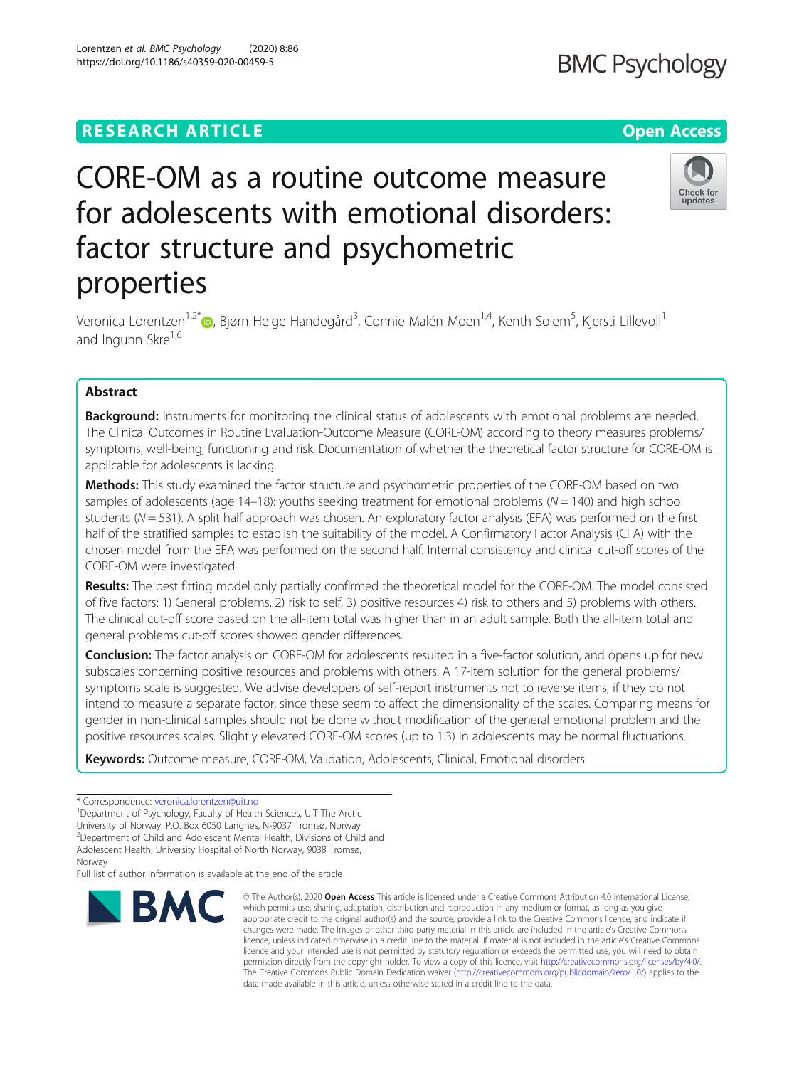# **RESEARCH ARTICLE Example 2014 12:30 The Open Access**

# CORE-OM as a routine outcome measure for adolescents with emotional disorders: factor structure and psychometric properties

Veronica Lorentzen<sup>1,2[\\*](http://orcid.org/0000-0001-6165-6730)</sup> (**b**, Bjørn Helge Handegård<sup>3</sup>, Connie Malén Moen<sup>1,4</sup>, Kenth Solem<sup>5</sup>, Kjersti Lillevoll<sup>1</sup> and Ingunn Skre<sup>1,6</sup>

# Abstract

**Background:** Instruments for monitoring the clinical status of adolescents with emotional problems are needed. The Clinical Outcomes in Routine Evaluation-Outcome Measure (CORE-OM) according to theory measures problems/ symptoms, well-being, functioning and risk. Documentation of whether the theoretical factor structure for CORE-OM is applicable for adolescents is lacking.

Methods: This study examined the factor structure and psychometric properties of the CORE-OM based on two samples of adolescents (age  $14-18$ ): youths seeking treatment for emotional problems ( $N = 140$ ) and high school students ( $N = 531$ ). A split half approach was chosen. An exploratory factor analysis (EFA) was performed on the first half of the stratified samples to establish the suitability of the model. A Confirmatory Factor Analysis (CFA) with the chosen model from the EFA was performed on the second half. Internal consistency and clinical cut-off scores of the CORE-OM were investigated.

Results: The best fitting model only partially confirmed the theoretical model for the CORE-OM. The model consisted of five factors: 1) General problems, 2) risk to self, 3) positive resources 4) risk to others and 5) problems with others. The clinical cut-off score based on the all-item total was higher than in an adult sample. Both the all-item total and general problems cut-off scores showed gender differences.

Conclusion: The factor analysis on CORE-OM for adolescents resulted in a five-factor solution, and opens up for new subscales concerning positive resources and problems with others. A 17-item solution for the general problems/ symptoms scale is suggested. We advise developers of self-report instruments not to reverse items, if they do not intend to measure a separate factor, since these seem to affect the dimensionality of the scales. Comparing means for gender in non-clinical samples should not be done without modification of the general emotional problem and the positive resources scales. Slightly elevated CORE-OM scores (up to 1.3) in adolescents may be normal fluctuations.

Keywords: Outcome measure, CORE-OM, Validation, Adolescents, Clinical, Emotional disorders

**BMC** 

<sup>1</sup>Department of Psychology, Faculty of Health Sciences, UiT The Arctic

University of Norway, P.O. Box 6050 Langnes, N-9037 Tromsø, Norway

<sup>2</sup> Department of Child and Adolescent Mental Health, Divisions of Child and Adolescent Health, University Hospital of North Norway, 9038 Tromsø,

**Norway** 

Full list of author information is available at the end of the article

© The Author(s), 2020 **Open Access** This article is licensed under a Creative Commons Attribution 4.0 International License,





<sup>\*</sup> Correspondence: [veronica.lorentzen@uit.no](mailto:veronica.lorentzen@uit.no) <sup>1</sup>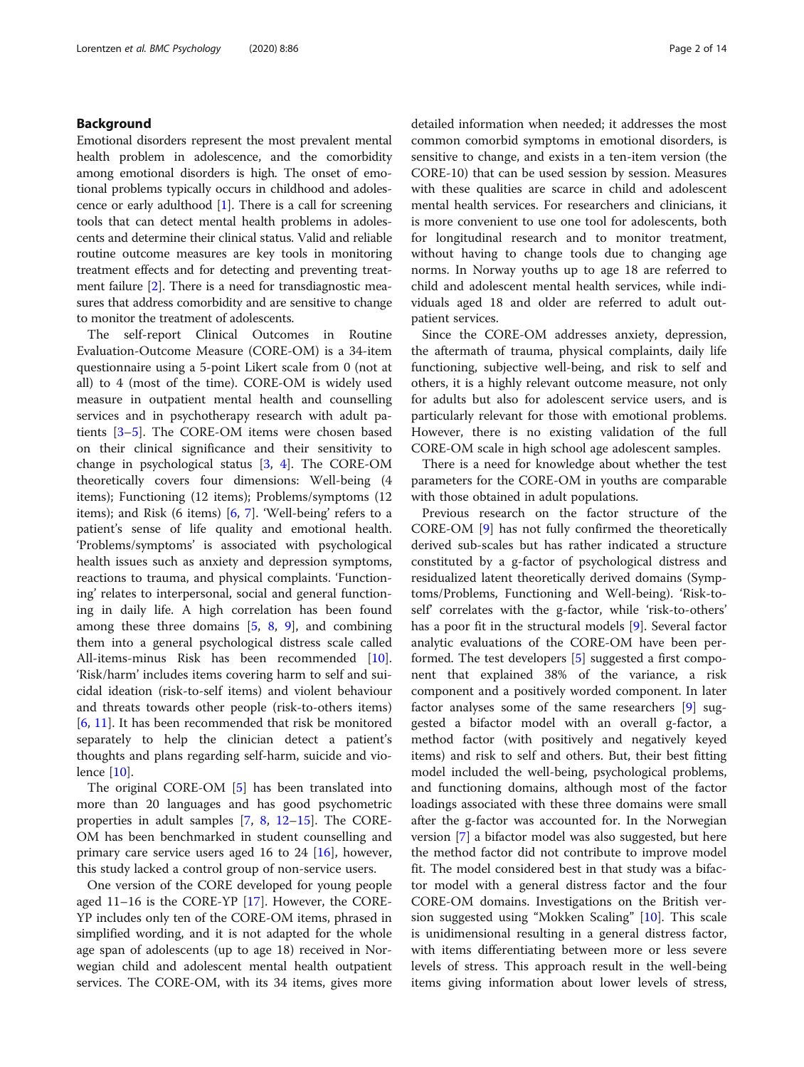# Background

Emotional disorders represent the most prevalent mental health problem in adolescence, and the comorbidity among emotional disorders is high. The onset of emotional problems typically occurs in childhood and adolescence or early adulthood  $[1]$  $[1]$  $[1]$ . There is a call for screening tools that can detect mental health problems in adolescents and determine their clinical status. Valid and reliable routine outcome measures are key tools in monitoring treatment effects and for detecting and preventing treat-ment failure [\[2](#page-12-0)]. There is a need for transdiagnostic measures that address comorbidity and are sensitive to change to monitor the treatment of adolescents.

The self-report Clinical Outcomes in Routine Evaluation-Outcome Measure (CORE-OM) is a 34-item questionnaire using a 5-point Likert scale from 0 (not at all) to 4 (most of the time). CORE-OM is widely used measure in outpatient mental health and counselling services and in psychotherapy research with adult patients [[3](#page-12-0)–[5\]](#page-12-0). The CORE-OM items were chosen based on their clinical significance and their sensitivity to change in psychological status  $[3, 4]$  $[3, 4]$  $[3, 4]$  $[3, 4]$ . The CORE-OM theoretically covers four dimensions: Well-being (4 items); Functioning (12 items); Problems/symptoms (12 items); and Risk (6 items) [[6,](#page-12-0) [7](#page-12-0)]. 'Well-being' refers to a patient's sense of life quality and emotional health. 'Problems/symptoms' is associated with psychological health issues such as anxiety and depression symptoms, reactions to trauma, and physical complaints. 'Functioning' relates to interpersonal, social and general functioning in daily life. A high correlation has been found among these three domains  $[5, 8, 9]$  $[5, 8, 9]$  $[5, 8, 9]$  $[5, 8, 9]$  $[5, 8, 9]$ , and combining them into a general psychological distress scale called All-items-minus Risk has been recommended [\[10](#page-12-0)]. 'Risk/harm' includes items covering harm to self and suicidal ideation (risk-to-self items) and violent behaviour and threats towards other people (risk-to-others items) [[6,](#page-12-0) [11\]](#page-12-0). It has been recommended that risk be monitored separately to help the clinician detect a patient's thoughts and plans regarding self-harm, suicide and violence [[10\]](#page-12-0).

The original CORE-OM [[5\]](#page-12-0) has been translated into more than 20 languages and has good psychometric properties in adult samples [[7,](#page-12-0) [8,](#page-12-0) [12](#page-12-0)–[15](#page-12-0)]. The CORE-OM has been benchmarked in student counselling and primary care service users aged 16 to 24 [\[16\]](#page-12-0), however, this study lacked a control group of non-service users.

One version of the CORE developed for young people aged 11–16 is the CORE-YP [\[17\]](#page-12-0). However, the CORE-YP includes only ten of the CORE-OM items, phrased in simplified wording, and it is not adapted for the whole age span of adolescents (up to age 18) received in Norwegian child and adolescent mental health outpatient services. The CORE-OM, with its 34 items, gives more

detailed information when needed; it addresses the most common comorbid symptoms in emotional disorders, is sensitive to change, and exists in a ten-item version (the CORE-10) that can be used session by session. Measures with these qualities are scarce in child and adolescent mental health services. For researchers and clinicians, it is more convenient to use one tool for adolescents, both for longitudinal research and to monitor treatment, without having to change tools due to changing age norms. In Norway youths up to age 18 are referred to child and adolescent mental health services, while individuals aged 18 and older are referred to adult outpatient services.

Since the CORE-OM addresses anxiety, depression, the aftermath of trauma, physical complaints, daily life functioning, subjective well-being, and risk to self and others, it is a highly relevant outcome measure, not only for adults but also for adolescent service users, and is particularly relevant for those with emotional problems. However, there is no existing validation of the full CORE-OM scale in high school age adolescent samples.

There is a need for knowledge about whether the test parameters for the CORE-OM in youths are comparable with those obtained in adult populations.

Previous research on the factor structure of the CORE-OM [[9\]](#page-12-0) has not fully confirmed the theoretically derived sub-scales but has rather indicated a structure constituted by a g-factor of psychological distress and residualized latent theoretically derived domains (Symptoms/Problems, Functioning and Well-being). 'Risk-toself' correlates with the g-factor, while 'risk-to-others' has a poor fit in the structural models [\[9](#page-12-0)]. Several factor analytic evaluations of the CORE-OM have been performed. The test developers [\[5](#page-12-0)] suggested a first component that explained 38% of the variance, a risk component and a positively worded component. In later factor analyses some of the same researchers [\[9](#page-12-0)] suggested a bifactor model with an overall g-factor, a method factor (with positively and negatively keyed items) and risk to self and others. But, their best fitting model included the well-being, psychological problems, and functioning domains, although most of the factor loadings associated with these three domains were small after the g-factor was accounted for. In the Norwegian version [\[7](#page-12-0)] a bifactor model was also suggested, but here the method factor did not contribute to improve model fit. The model considered best in that study was a bifactor model with a general distress factor and the four CORE-OM domains. Investigations on the British version suggested using "Mokken Scaling" [\[10](#page-12-0)]. This scale is unidimensional resulting in a general distress factor, with items differentiating between more or less severe levels of stress. This approach result in the well-being items giving information about lower levels of stress,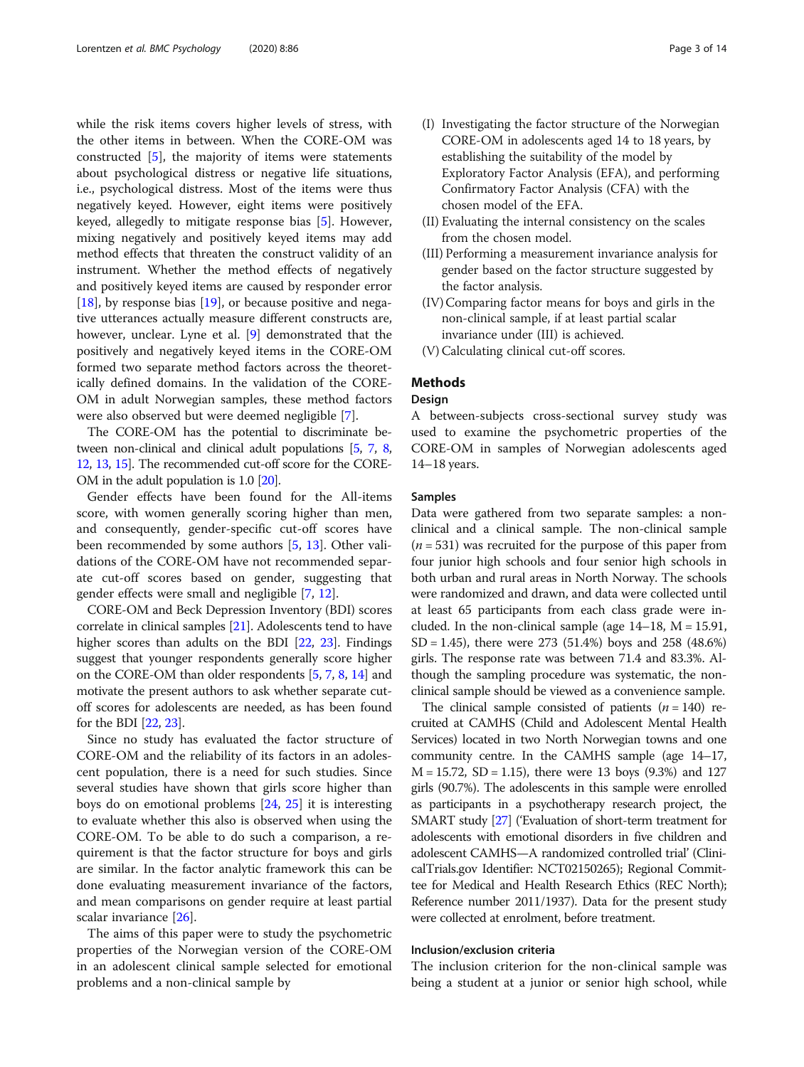while the risk items covers higher levels of stress, with the other items in between. When the CORE-OM was constructed [[5](#page-12-0)], the majority of items were statements about psychological distress or negative life situations, i.e., psychological distress. Most of the items were thus negatively keyed. However, eight items were positively keyed, allegedly to mitigate response bias [[5\]](#page-12-0). However, mixing negatively and positively keyed items may add method effects that threaten the construct validity of an instrument. Whether the method effects of negatively and positively keyed items are caused by responder error [[18\]](#page-12-0), by response bias [\[19](#page-12-0)], or because positive and negative utterances actually measure different constructs are, however, unclear. Lyne et al. [\[9](#page-12-0)] demonstrated that the positively and negatively keyed items in the CORE-OM formed two separate method factors across the theoretically defined domains. In the validation of the CORE-OM in adult Norwegian samples, these method factors were also observed but were deemed negligible [[7](#page-12-0)].

The CORE-OM has the potential to discriminate between non-clinical and clinical adult populations [[5,](#page-12-0) [7](#page-12-0), [8](#page-12-0), [12](#page-12-0), [13](#page-12-0), [15\]](#page-12-0). The recommended cut-off score for the CORE-OM in the adult population is 1.0 [[20](#page-12-0)].

Gender effects have been found for the All-items score, with women generally scoring higher than men, and consequently, gender-specific cut-off scores have been recommended by some authors [\[5](#page-12-0), [13\]](#page-12-0). Other validations of the CORE-OM have not recommended separate cut-off scores based on gender, suggesting that gender effects were small and negligible [[7,](#page-12-0) [12\]](#page-12-0).

CORE-OM and Beck Depression Inventory (BDI) scores correlate in clinical samples [[21](#page-12-0)]. Adolescents tend to have higher scores than adults on the BDI [\[22,](#page-12-0) [23\]](#page-12-0). Findings suggest that younger respondents generally score higher on the CORE-OM than older respondents [[5](#page-12-0), [7,](#page-12-0) [8,](#page-12-0) [14\]](#page-12-0) and motivate the present authors to ask whether separate cutoff scores for adolescents are needed, as has been found for the BDI [[22](#page-12-0), [23\]](#page-12-0).

Since no study has evaluated the factor structure of CORE-OM and the reliability of its factors in an adolescent population, there is a need for such studies. Since several studies have shown that girls score higher than boys do on emotional problems [[24,](#page-12-0) [25](#page-12-0)] it is interesting to evaluate whether this also is observed when using the CORE-OM. To be able to do such a comparison, a requirement is that the factor structure for boys and girls are similar. In the factor analytic framework this can be done evaluating measurement invariance of the factors, and mean comparisons on gender require at least partial scalar invariance [[26](#page-12-0)].

The aims of this paper were to study the psychometric properties of the Norwegian version of the CORE-OM in an adolescent clinical sample selected for emotional problems and a non-clinical sample by

- (I) Investigating the factor structure of the Norwegian CORE-OM in adolescents aged 14 to 18 years, by establishing the suitability of the model by Exploratory Factor Analysis (EFA), and performing Confirmatory Factor Analysis (CFA) with the chosen model of the EFA.
- (II) Evaluating the internal consistency on the scales from the chosen model.
- (III) Performing a measurement invariance analysis for gender based on the factor structure suggested by the factor analysis.
- (IV) Comparing factor means for boys and girls in the non-clinical sample, if at least partial scalar invariance under (III) is achieved.
- (V) Calculating clinical cut-off scores.

# Methods

## Design

A between-subjects cross-sectional survey study was used to examine the psychometric properties of the CORE-OM in samples of Norwegian adolescents aged 14–18 years.

# Samples

Data were gathered from two separate samples: a nonclinical and a clinical sample. The non-clinical sample  $(n = 531)$  was recruited for the purpose of this paper from four junior high schools and four senior high schools in both urban and rural areas in North Norway. The schools were randomized and drawn, and data were collected until at least 65 participants from each class grade were included. In the non-clinical sample (age  $14-18$ ,  $M = 15.91$ , SD = 1.45), there were 273 (51.4%) boys and 258 (48.6%) girls. The response rate was between 71.4 and 83.3%. Although the sampling procedure was systematic, the nonclinical sample should be viewed as a convenience sample.

The clinical sample consisted of patients  $(n = 140)$  recruited at CAMHS (Child and Adolescent Mental Health Services) located in two North Norwegian towns and one community centre. In the CAMHS sample (age 14–17,  $M = 15.72$ , SD = 1.15), there were 13 boys (9.3%) and 127 girls (90.7%). The adolescents in this sample were enrolled as participants in a psychotherapy research project, the SMART study [\[27](#page-12-0)] ('Evaluation of short-term treatment for adolescents with emotional disorders in five children and adolescent CAMHS—A randomized controlled trial' (ClinicalTrials.gov Identifier: NCT02150265); Regional Committee for Medical and Health Research Ethics (REC North); Reference number 2011/1937). Data for the present study were collected at enrolment, before treatment.

# Inclusion/exclusion criteria

The inclusion criterion for the non-clinical sample was being a student at a junior or senior high school, while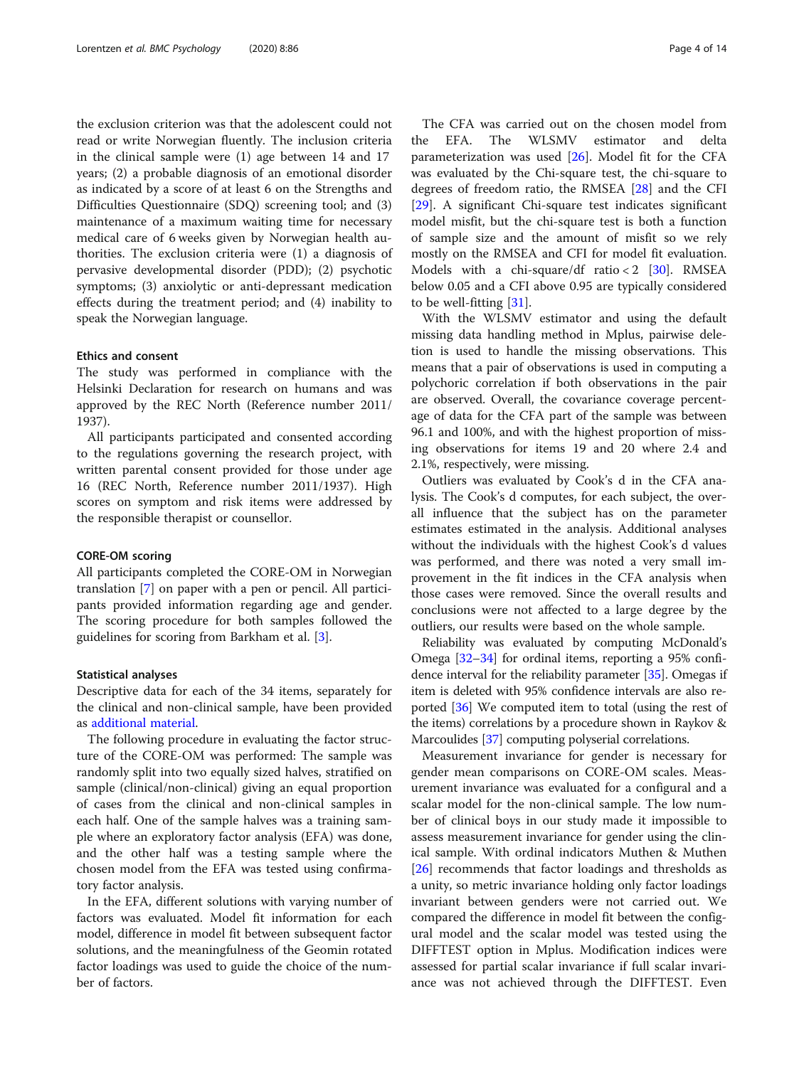the exclusion criterion was that the adolescent could not read or write Norwegian fluently. The inclusion criteria in the clinical sample were (1) age between 14 and 17 years; (2) a probable diagnosis of an emotional disorder as indicated by a score of at least 6 on the Strengths and Difficulties Questionnaire (SDQ) screening tool; and (3) maintenance of a maximum waiting time for necessary medical care of 6 weeks given by Norwegian health authorities. The exclusion criteria were (1) a diagnosis of pervasive developmental disorder (PDD); (2) psychotic symptoms; (3) anxiolytic or anti-depressant medication effects during the treatment period; and (4) inability to speak the Norwegian language.

# Ethics and consent

The study was performed in compliance with the Helsinki Declaration for research on humans and was approved by the REC North (Reference number 2011/ 1937).

All participants participated and consented according to the regulations governing the research project, with written parental consent provided for those under age 16 (REC North, Reference number 2011/1937). High scores on symptom and risk items were addressed by the responsible therapist or counsellor.

#### CORE-OM scoring

All participants completed the CORE-OM in Norwegian translation [[7\]](#page-12-0) on paper with a pen or pencil. All participants provided information regarding age and gender. The scoring procedure for both samples followed the guidelines for scoring from Barkham et al. [[3\]](#page-12-0).

#### Statistical analyses

Descriptive data for each of the 34 items, separately for the clinical and non-clinical sample, have been provided as [additional material.](#page-11-0)

The following procedure in evaluating the factor structure of the CORE-OM was performed: The sample was randomly split into two equally sized halves, stratified on sample (clinical/non-clinical) giving an equal proportion of cases from the clinical and non-clinical samples in each half. One of the sample halves was a training sample where an exploratory factor analysis (EFA) was done, and the other half was a testing sample where the chosen model from the EFA was tested using confirmatory factor analysis.

In the EFA, different solutions with varying number of factors was evaluated. Model fit information for each model, difference in model fit between subsequent factor solutions, and the meaningfulness of the Geomin rotated factor loadings was used to guide the choice of the number of factors.

The CFA was carried out on the chosen model from the EFA. The WLSMV estimator and delta parameterization was used [[26](#page-12-0)]. Model fit for the CFA was evaluated by the Chi-square test, the chi-square to degrees of freedom ratio, the RMSEA [[28\]](#page-12-0) and the CFI [[29\]](#page-12-0). A significant Chi-square test indicates significant model misfit, but the chi-square test is both a function of sample size and the amount of misfit so we rely mostly on the RMSEA and CFI for model fit evaluation. Models with a chi-square/df ratio < 2  $[30]$  $[30]$  $[30]$ . RMSEA below 0.05 and a CFI above 0.95 are typically considered to be well-fitting [[31\]](#page-12-0).

With the WLSMV estimator and using the default missing data handling method in Mplus, pairwise deletion is used to handle the missing observations. This means that a pair of observations is used in computing a polychoric correlation if both observations in the pair are observed. Overall, the covariance coverage percentage of data for the CFA part of the sample was between 96.1 and 100%, and with the highest proportion of missing observations for items 19 and 20 where 2.4 and 2.1%, respectively, were missing.

Outliers was evaluated by Cook's d in the CFA analysis. The Cook's d computes, for each subject, the overall influence that the subject has on the parameter estimates estimated in the analysis. Additional analyses without the individuals with the highest Cook's d values was performed, and there was noted a very small improvement in the fit indices in the CFA analysis when those cases were removed. Since the overall results and conclusions were not affected to a large degree by the outliers, our results were based on the whole sample.

Reliability was evaluated by computing McDonald's Omega [\[32](#page-12-0)–[34](#page-12-0)] for ordinal items, reporting a 95% confidence interval for the reliability parameter [\[35\]](#page-12-0). Omegas if item is deleted with 95% confidence intervals are also reported [\[36](#page-12-0)] We computed item to total (using the rest of the items) correlations by a procedure shown in Raykov & Marcoulides [\[37\]](#page-12-0) computing polyserial correlations.

Measurement invariance for gender is necessary for gender mean comparisons on CORE-OM scales. Measurement invariance was evaluated for a configural and a scalar model for the non-clinical sample. The low number of clinical boys in our study made it impossible to assess measurement invariance for gender using the clinical sample. With ordinal indicators Muthen & Muthen [[26\]](#page-12-0) recommends that factor loadings and thresholds as a unity, so metric invariance holding only factor loadings invariant between genders were not carried out. We compared the difference in model fit between the configural model and the scalar model was tested using the DIFFTEST option in Mplus. Modification indices were assessed for partial scalar invariance if full scalar invariance was not achieved through the DIFFTEST. Even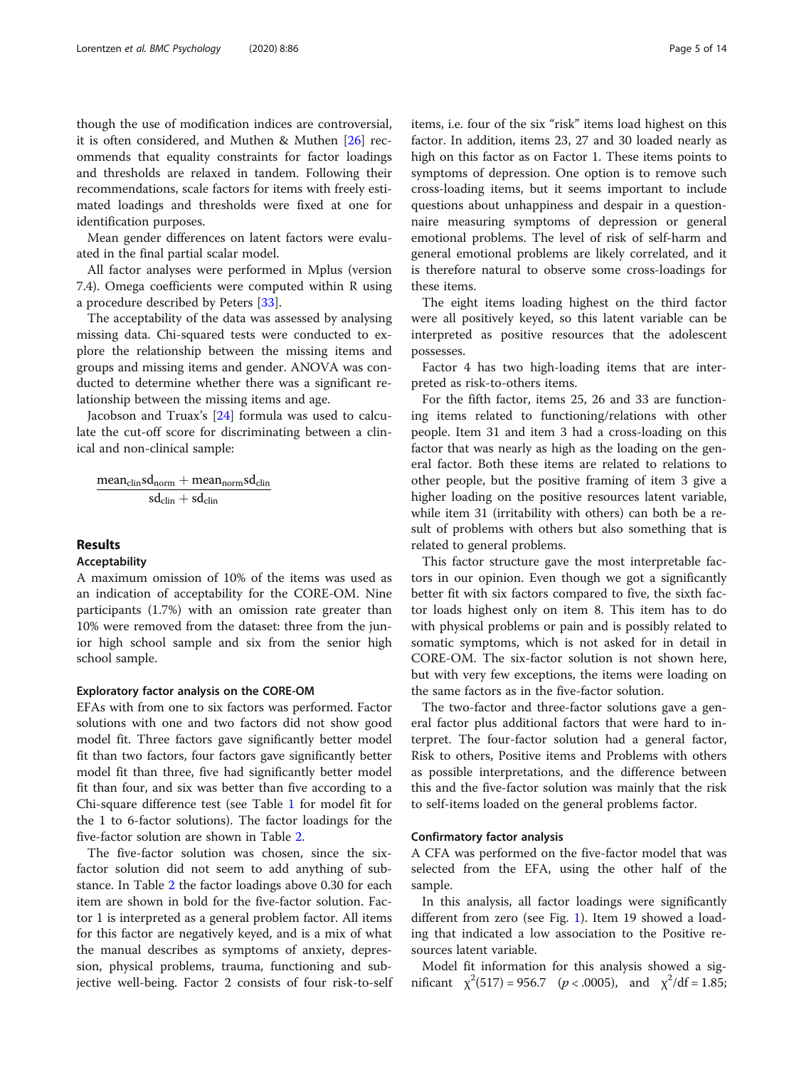though the use of modification indices are controversial, it is often considered, and Muthen & Muthen [[26](#page-12-0)] recommends that equality constraints for factor loadings and thresholds are relaxed in tandem. Following their recommendations, scale factors for items with freely estimated loadings and thresholds were fixed at one for identification purposes.

Mean gender differences on latent factors were evaluated in the final partial scalar model.

All factor analyses were performed in Mplus (version 7.4). Omega coefficients were computed within R using a procedure described by Peters [[33](#page-12-0)].

The acceptability of the data was assessed by analysing missing data. Chi-squared tests were conducted to explore the relationship between the missing items and groups and missing items and gender. ANOVA was conducted to determine whether there was a significant relationship between the missing items and age.

Jacobson and Truax's [[24](#page-12-0)] formula was used to calculate the cut-off score for discriminating between a clinical and non-clinical sample:

$$
\frac{mean_{clin}sd_{norm} + mean_{norm}sd_{clin}}{sd_{clin} + sd_{clin}}
$$

# Results

# Acceptability

A maximum omission of 10% of the items was used as an indication of acceptability for the CORE-OM. Nine participants (1.7%) with an omission rate greater than 10% were removed from the dataset: three from the junior high school sample and six from the senior high school sample.

# Exploratory factor analysis on the CORE-OM

EFAs with from one to six factors was performed. Factor solutions with one and two factors did not show good model fit. Three factors gave significantly better model fit than two factors, four factors gave significantly better model fit than three, five had significantly better model fit than four, and six was better than five according to a Chi-square difference test (see Table [1](#page-5-0) for model fit for the 1 to 6-factor solutions). The factor loadings for the five-factor solution are shown in Table [2.](#page-5-0)

The five-factor solution was chosen, since the sixfactor solution did not seem to add anything of substance. In Table [2](#page-5-0) the factor loadings above 0.30 for each item are shown in bold for the five-factor solution. Factor 1 is interpreted as a general problem factor. All items for this factor are negatively keyed, and is a mix of what the manual describes as symptoms of anxiety, depression, physical problems, trauma, functioning and subjective well-being. Factor 2 consists of four risk-to-self items, i.e. four of the six "risk" items load highest on this factor. In addition, items 23, 27 and 30 loaded nearly as high on this factor as on Factor 1. These items points to symptoms of depression. One option is to remove such cross-loading items, but it seems important to include questions about unhappiness and despair in a questionnaire measuring symptoms of depression or general emotional problems. The level of risk of self-harm and general emotional problems are likely correlated, and it is therefore natural to observe some cross-loadings for these items.

The eight items loading highest on the third factor were all positively keyed, so this latent variable can be interpreted as positive resources that the adolescent possesses.

Factor 4 has two high-loading items that are interpreted as risk-to-others items.

For the fifth factor, items 25, 26 and 33 are functioning items related to functioning/relations with other people. Item 31 and item 3 had a cross-loading on this factor that was nearly as high as the loading on the general factor. Both these items are related to relations to other people, but the positive framing of item 3 give a higher loading on the positive resources latent variable, while item 31 (irritability with others) can both be a result of problems with others but also something that is related to general problems.

This factor structure gave the most interpretable factors in our opinion. Even though we got a significantly better fit with six factors compared to five, the sixth factor loads highest only on item 8. This item has to do with physical problems or pain and is possibly related to somatic symptoms, which is not asked for in detail in CORE-OM. The six-factor solution is not shown here, but with very few exceptions, the items were loading on the same factors as in the five-factor solution.

The two-factor and three-factor solutions gave a general factor plus additional factors that were hard to interpret. The four-factor solution had a general factor, Risk to others, Positive items and Problems with others as possible interpretations, and the difference between this and the five-factor solution was mainly that the risk to self-items loaded on the general problems factor.

## Confirmatory factor analysis

A CFA was performed on the five-factor model that was selected from the EFA, using the other half of the sample.

In this analysis, all factor loadings were significantly different from zero (see Fig. [1](#page-6-0)). Item 19 showed a loading that indicated a low association to the Positive resources latent variable.

Model fit information for this analysis showed a significant  $\chi^2(517) = 956.7$  ( $p < .0005$ ), and  $\chi^2/df = 1.85$ ;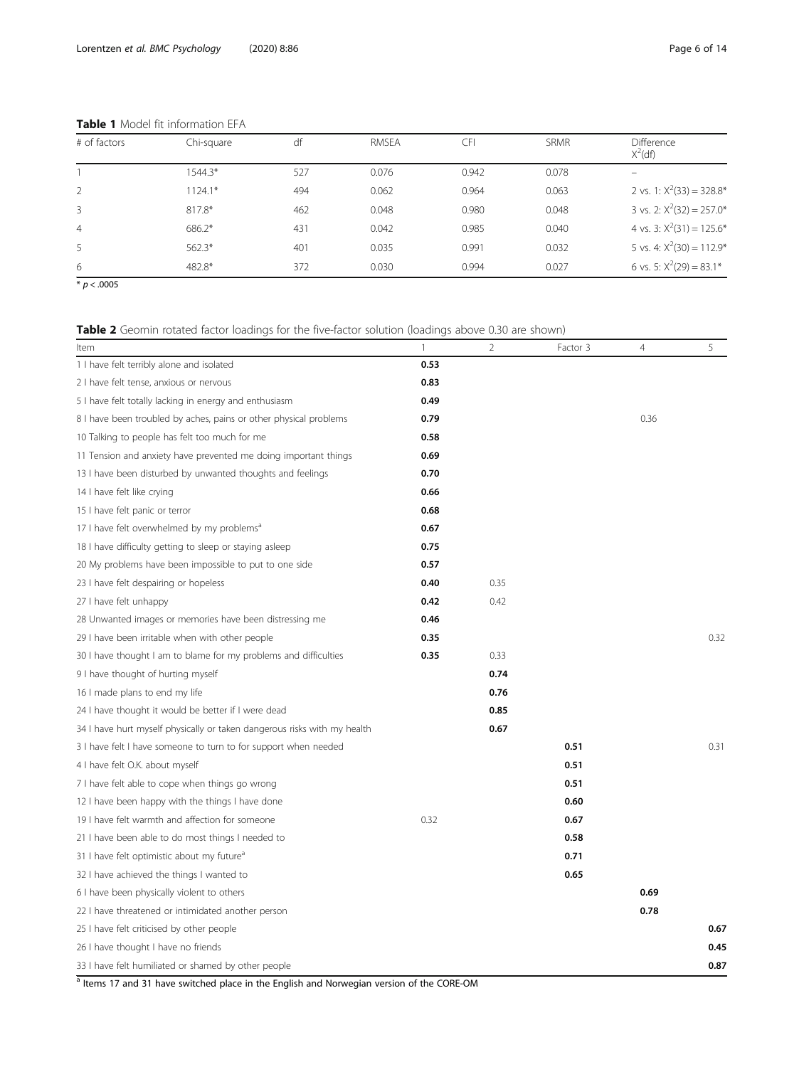| # of factors   | Chi-square | df  | <b>RMSEA</b> |       | <b>SRMR</b> | <b>Difference</b><br>$X^2(df)$ |
|----------------|------------|-----|--------------|-------|-------------|--------------------------------|
|                | $1544.3*$  | 527 | 0.076        | 0.942 | 0.078       |                                |
| 2              | $1124.1*$  | 494 | 0.062        | 0.964 | 0.063       | 2 vs. 1: $X^2(33) = 328.8^*$   |
| 3              | 817.8*     | 462 | 0.048        | 0.980 | 0.048       | 3 vs. 2: $X^2(32) = 257.0*$    |
| $\overline{4}$ | $686.2*$   | 431 | 0.042        | 0.985 | 0.040       | 4 vs. 3: $X^2(31) = 125.6^*$   |
| 5              | $562.3*$   | 401 | 0.035        | 0.991 | 0.032       | 5 vs. 4: $X^2(30) = 112.9^*$   |
| 6              | 482.8*     | 372 | 0.030        | 0.994 | 0.027       | 6 vs. 5: $X^2(29) = 83.1*$     |

# <span id="page-5-0"></span>Table 1 Model fit information EFA

 $* p < .0005$ 

# Table 2 Geomin rotated factor loadings for the five-factor solution (loadings above 0.30 are shown)

| Item                                                                                                 | $\mathbf{1}$ | $\overline{2}$ | Factor 3 | 4    | 5    |
|------------------------------------------------------------------------------------------------------|--------------|----------------|----------|------|------|
| 1 I have felt terribly alone and isolated                                                            | 0.53         |                |          |      |      |
| 2 I have felt tense, anxious or nervous                                                              | 0.83         |                |          |      |      |
| 5 I have felt totally lacking in energy and enthusiasm                                               | 0.49         |                |          |      |      |
| 8 I have been troubled by aches, pains or other physical problems                                    | 0.79         |                |          | 0.36 |      |
| 10 Talking to people has felt too much for me                                                        | 0.58         |                |          |      |      |
| 11 Tension and anxiety have prevented me doing important things                                      | 0.69         |                |          |      |      |
| 13 I have been disturbed by unwanted thoughts and feelings                                           | 0.70         |                |          |      |      |
| 14 I have felt like crying                                                                           | 0.66         |                |          |      |      |
| 15 I have felt panic or terror                                                                       | 0.68         |                |          |      |      |
| 17 I have felt overwhelmed by my problems <sup>a</sup>                                               | 0.67         |                |          |      |      |
| 18 I have difficulty getting to sleep or staying asleep                                              | 0.75         |                |          |      |      |
| 20 My problems have been impossible to put to one side                                               | 0.57         |                |          |      |      |
| 23 I have felt despairing or hopeless                                                                | 0.40         | 0.35           |          |      |      |
| 27 I have felt unhappy                                                                               | 0.42         | 0.42           |          |      |      |
| 28 Unwanted images or memories have been distressing me                                              | 0.46         |                |          |      |      |
| 29 I have been irritable when with other people                                                      | 0.35         |                |          |      | 0.32 |
| 30 I have thought I am to blame for my problems and difficulties                                     | 0.35         | 0.33           |          |      |      |
| 9 I have thought of hurting myself                                                                   |              | 0.74           |          |      |      |
| 16 I made plans to end my life                                                                       |              | 0.76           |          |      |      |
| 24 I have thought it would be better if I were dead                                                  |              | 0.85           |          |      |      |
| 34 I have hurt myself physically or taken dangerous risks with my health                             |              | 0.67           |          |      |      |
| 3 I have felt I have someone to turn to for support when needed                                      |              |                | 0.51     |      | 0.31 |
| 4 I have felt O.K. about myself                                                                      |              |                | 0.51     |      |      |
| 7 I have felt able to cope when things go wrong                                                      |              |                | 0.51     |      |      |
| 12 I have been happy with the things I have done                                                     |              |                | 0.60     |      |      |
| 19 I have felt warmth and affection for someone                                                      | 0.32         |                | 0.67     |      |      |
| 21 I have been able to do most things I needed to                                                    |              |                | 0.58     |      |      |
| 31 I have felt optimistic about my future <sup>a</sup>                                               |              |                | 0.71     |      |      |
| 32 I have achieved the things I wanted to                                                            |              |                | 0.65     |      |      |
| 6 I have been physically violent to others                                                           |              |                |          | 0.69 |      |
| 22 I have threatened or intimidated another person                                                   |              |                |          | 0.78 |      |
| 25 I have felt criticised by other people                                                            |              |                |          |      | 0.67 |
| 26 I have thought I have no friends                                                                  |              |                |          |      | 0.45 |
| 33 I have felt humiliated or shamed by other people                                                  |              |                |          |      | 0.87 |
| <sup>a</sup> Itams 17 and 31 have switched place in the English and Norwegian version of the CORE-OM |              |                |          |      |      |

Items 17 and 31 have switched place in the English and Norwegian version of the CORE-OM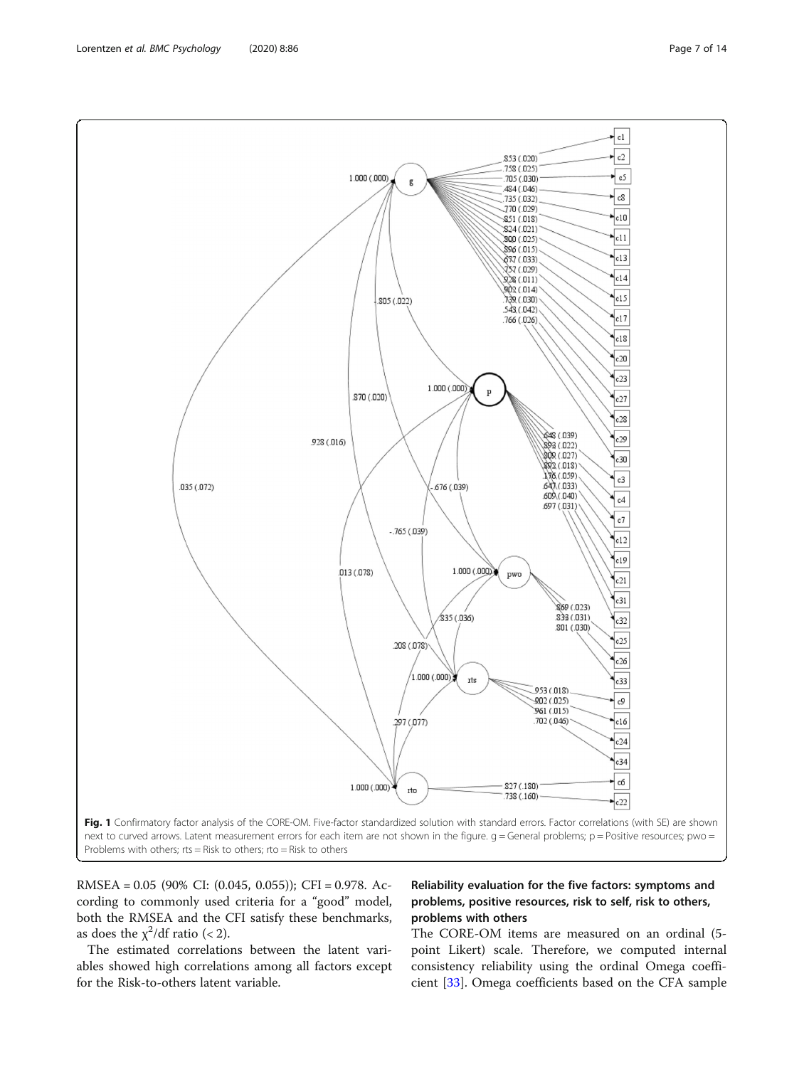RMSEA = 0.05 (90% CI: (0.045, 0.055)); CFI = 0.978. According to commonly used criteria for a "good" model, both the RMSEA and the CFI satisfy these benchmarks, as does the  $\chi^2$ /df ratio (< 2).

The estimated correlations between the latent variables showed high correlations among all factors except for the Risk-to-others latent variable.

# Reliability evaluation for the five factors: symptoms and problems, positive resources, risk to self, risk to others, problems with others

The CORE-OM items are measured on an ordinal (5 point Likert) scale. Therefore, we computed internal consistency reliability using the ordinal Omega coefficient [\[33](#page-12-0)]. Omega coefficients based on the CFA sample

<span id="page-6-0"></span>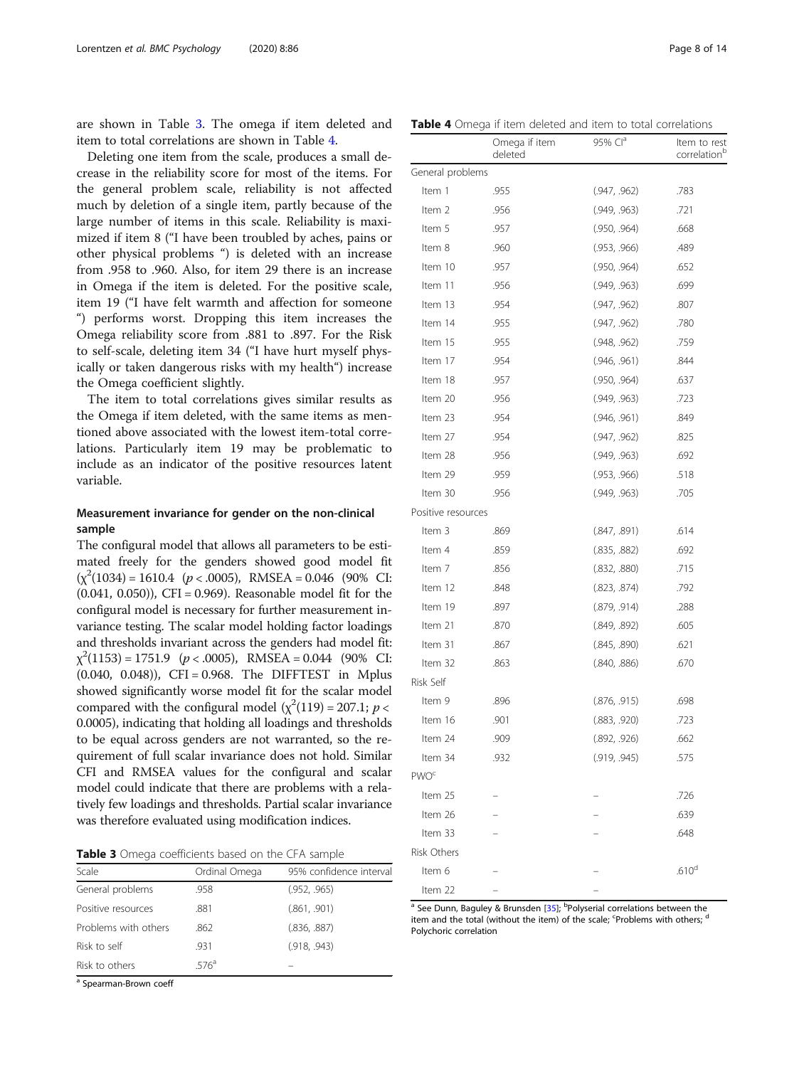are shown in Table 3. The omega if item deleted and item to total correlations are shown in Table 4.

Deleting one item from the scale, produces a small decrease in the reliability score for most of the items. For the general problem scale, reliability is not affected much by deletion of a single item, partly because of the large number of items in this scale. Reliability is maximized if item 8 ("I have been troubled by aches, pains or other physical problems ") is deleted with an increase from .958 to .960. Also, for item 29 there is an increase in Omega if the item is deleted. For the positive scale, item 19 ("I have felt warmth and affection for someone ") performs worst. Dropping this item increases the Omega reliability score from .881 to .897. For the Risk to self-scale, deleting item 34 ("I have hurt myself physically or taken dangerous risks with my health") increase the Omega coefficient slightly.

The item to total correlations gives similar results as the Omega if item deleted, with the same items as mentioned above associated with the lowest item-total correlations. Particularly item 19 may be problematic to include as an indicator of the positive resources latent variable.

# Measurement invariance for gender on the non-clinical sample

The configural model that allows all parameters to be estimated freely for the genders showed good model fit  $(\chi^2(1034) = 1610.4 \quad (p < .0005)$ , RMSEA = 0.046 (90% CI: (0.041, 0.050)), CFI = 0.969). Reasonable model fit for the configural model is necessary for further measurement invariance testing. The scalar model holding factor loadings and thresholds invariant across the genders had model fit:  $\chi^2(1153) = 1751.9 \quad (p < .0005)$ , RMSEA = 0.044 (90% CI: (0.040, 0.048)), CFI = 0.968. The DIFFTEST in Mplus showed significantly worse model fit for the scalar model compared with the configural model  $(\chi^2(119) = 207.1; p <$ 0.0005), indicating that holding all loadings and thresholds to be equal across genders are not warranted, so the requirement of full scalar invariance does not hold. Similar CFI and RMSEA values for the configural and scalar model could indicate that there are problems with a relatively few loadings and thresholds. Partial scalar invariance was therefore evaluated using modification indices.

Table 3 Omega coefficients based on the CFA sample

| Scale                | Ordinal Omega    | 95% confidence interval |
|----------------------|------------------|-------------------------|
| General problems     | .958             | (.952, .965)            |
| Positive resources   | .881             | (.861, .901)            |
| Problems with others | .862             | (.836, .887)            |
| Risk to self         | .931             | (.918, .943)            |
| Risk to others       | 576 <sup>a</sup> |                         |

a Spearman-Brown coeff

Table 4 Omega if item deleted and item to total correlations

|                        | Omega if item<br>deleted | 95% Cl <sup>a</sup> | Item to rest<br>correlation <sup>b</sup> |
|------------------------|--------------------------|---------------------|------------------------------------------|
| General problems       |                          |                     |                                          |
| Item 1                 | .955                     | (.947, .962)        | .783                                     |
| Item 2                 | .956                     | (.949, .963)        | .721                                     |
| Item 5                 | .957                     | (.950, .964)        | .668                                     |
| Item 8                 | .960                     | (.953, .966)        | .489                                     |
| Item 10                | .957                     | (.950, .964)        | .652                                     |
| Item 11                | .956                     | (.949, .963)        | .699                                     |
| Item 13                | .954                     | (.947, .962)        | .807                                     |
| Item 14                | .955                     | (.947, .962)        | .780                                     |
| Item 15                | .955                     | (.948, .962)        | .759                                     |
| Item 17                | .954                     | (.946, .961)        | .844                                     |
| Item 18                | .957                     | (.950, .964)        | .637                                     |
| Item 20                | .956                     | (.949, .963)        | .723                                     |
| Item 23                | .954                     | (.946, .961)        | .849                                     |
| Item 27                | .954                     | (.947, .962)        | .825                                     |
| Item 28                | .956                     | (.949, .963)        | .692                                     |
| Item 29                | .959                     | (.953, .966)        | .518                                     |
| Item 30                | .956                     | (.949, .963)        | .705                                     |
| Positive resources     |                          |                     |                                          |
| Item 3                 | .869                     | (.847, .891)        | .614                                     |
| Item 4                 | .859                     | (.835, .882)        | .692                                     |
| Item 7                 | .856                     | (.832, .880)        | .715                                     |
| Item 12                | .848                     | (.823, .874)        | .792                                     |
| Item 19                | .897                     | (.879, .914)        | .288                                     |
| Item 21                | .870                     | (.849, .892)        | .605                                     |
| Item 31                | .867                     | (.845, .890)        | .621                                     |
| Item 32                | .863                     | (.840, .886)        | .670                                     |
| Risk Self              |                          |                     |                                          |
| Item 9                 | .896                     | (.876, .915)        | .698                                     |
| Item 16                | .901                     | (.883, .920)        | .723                                     |
| Item 24                | .909                     | (.892, .926)        | .662                                     |
| Item 34                | .932                     | (.919, .945)        | .575                                     |
| <b>PWO<sup>c</sup></b> |                          |                     |                                          |
| Item 25                |                          |                     | .726                                     |
| Item 26                |                          |                     | .639                                     |
| Item 33                |                          |                     | .648                                     |
| <b>Risk Others</b>     |                          |                     |                                          |
| Item 6                 |                          |                     | .610 <sup>d</sup>                        |
| Item 22                |                          |                     |                                          |

<sup>a</sup> See Dunn, Baguley & Brunsden [\[35](#page-12-0)]; <sup>b</sup>Polyserial correlations between the item and the total (without the item) of the scale; <sup>c</sup>Problems with others; d Polychoric correlation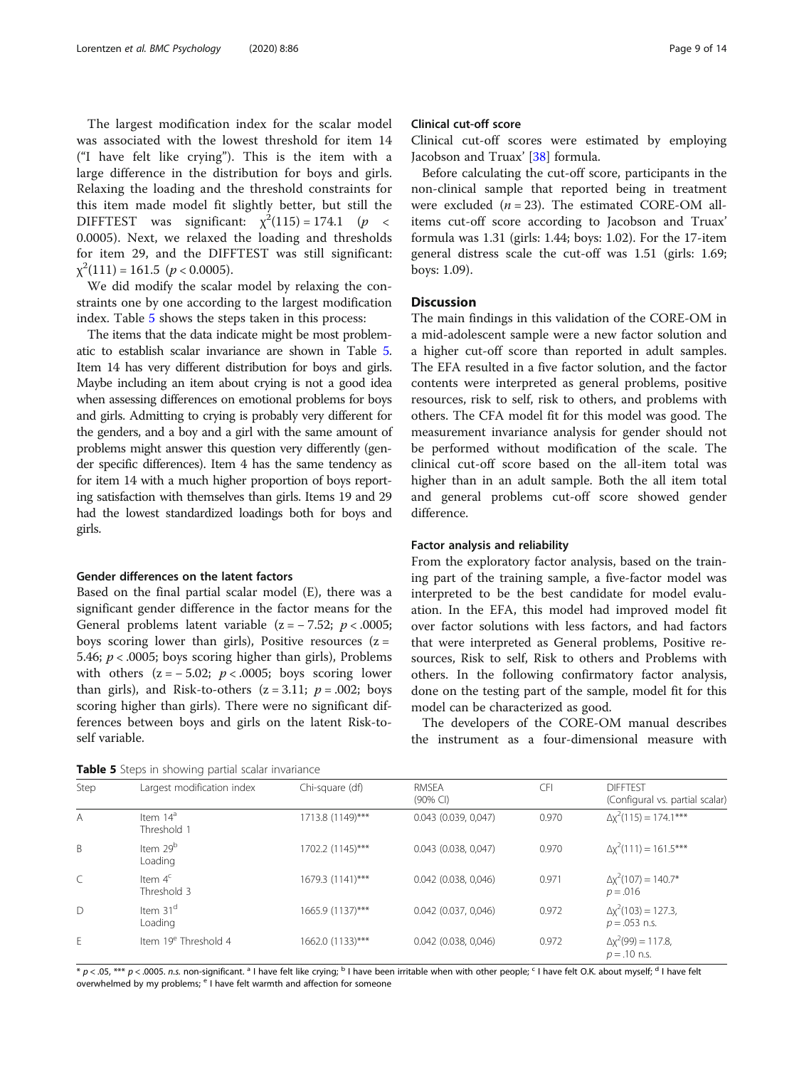The largest modification index for the scalar model was associated with the lowest threshold for item 14 ("I have felt like crying"). This is the item with a large difference in the distribution for boys and girls. Relaxing the loading and the threshold constraints for this item made model fit slightly better, but still the DIFFTEST was significant:  $\chi^2(115) = 174.1$  (p < 0.0005). Next, we relaxed the loading and thresholds for item 29, and the DIFFTEST was still significant:  $\chi^2(111) = 161.5$  ( $p < 0.0005$ ).

We did modify the scalar model by relaxing the constraints one by one according to the largest modification index. Table 5 shows the steps taken in this process:

The items that the data indicate might be most problematic to establish scalar invariance are shown in Table 5. Item 14 has very different distribution for boys and girls. Maybe including an item about crying is not a good idea when assessing differences on emotional problems for boys and girls. Admitting to crying is probably very different for the genders, and a boy and a girl with the same amount of problems might answer this question very differently (gender specific differences). Item 4 has the same tendency as for item 14 with a much higher proportion of boys reporting satisfaction with themselves than girls. Items 19 and 29 had the lowest standardized loadings both for boys and girls.

# Gender differences on the latent factors

Based on the final partial scalar model (E), there was a significant gender difference in the factor means for the General problems latent variable  $(z = -7.52; p < .0005;$ boys scoring lower than girls), Positive resources  $(z =$ 5.46;  $p < .0005$ ; boys scoring higher than girls), Problems with others  $(z = -5.02; p < .0005;$  boys scoring lower than girls), and Risk-to-others  $(z = 3.11; p = .002;$  boys scoring higher than girls). There were no significant differences between boys and girls on the latent Risk-toself variable.

Table 5 Steps in showing partial scalar invariance

# Clinical cut-off score

Clinical cut-off scores were estimated by employing Jacobson and Truax' [[38\]](#page-12-0) formula.

Before calculating the cut-off score, participants in the non-clinical sample that reported being in treatment were excluded  $(n = 23)$ . The estimated CORE-OM allitems cut-off score according to Jacobson and Truax' formula was 1.31 (girls: 1.44; boys: 1.02). For the 17-item general distress scale the cut-off was 1.51 (girls: 1.69; boys: 1.09).

# **Discussion**

The main findings in this validation of the CORE-OM in a mid-adolescent sample were a new factor solution and a higher cut-off score than reported in adult samples. The EFA resulted in a five factor solution, and the factor contents were interpreted as general problems, positive resources, risk to self, risk to others, and problems with others. The CFA model fit for this model was good. The measurement invariance analysis for gender should not be performed without modification of the scale. The clinical cut-off score based on the all-item total was higher than in an adult sample. Both the all item total and general problems cut-off score showed gender difference.

# Factor analysis and reliability

From the exploratory factor analysis, based on the training part of the training sample, a five-factor model was interpreted to be the best candidate for model evaluation. In the EFA, this model had improved model fit over factor solutions with less factors, and had factors that were interpreted as General problems, Positive resources, Risk to self, Risk to others and Problems with others. In the following confirmatory factor analysis, done on the testing part of the sample, model fit for this model can be characterized as good.

The developers of the CORE-OM manual describes the instrument as a four-dimensional measure with

|           | <b>I WATE S</b> Steps in Showing partial Search invariance |                  |                             |            |                                                    |  |  |
|-----------|------------------------------------------------------------|------------------|-----------------------------|------------|----------------------------------------------------|--|--|
| Step      | Largest modification index                                 | Chi-square (df)  | <b>RMSEA</b><br>$(90\%$ CI) | <b>CFI</b> | <b>DIFFTEST</b><br>(Configural vs. partial scalar) |  |  |
| A         | Item $14a$<br>Threshold 1                                  | 1713.8 (1149)*** | $0.043$ (0.039, 0,047)      | 0.970      | $\Delta x^2(115) = 174.1***$                       |  |  |
| B         | Item 29 <sup>b</sup><br>Loading                            | 1702.2 (1145)*** | $0.043$ (0.038, 0,047)      | 0.970      | $\Delta x^2(111) = 161.5***$                       |  |  |
| $\subset$ | Item $4c$<br>Threshold 3                                   | 1679.3 (1141)*** | $0.042$ (0.038, 0,046)      | 0.971      | $\Delta x^2(107) = 140.7^*$<br>$p = .016$          |  |  |
| D         | Item 31 <sup>d</sup><br>Loading                            | 1665.9 (1137)*** | $0.042$ (0.037, 0,046)      | 0.972      | $\Delta x^2(103) = 127.3$<br>$p = 0.053$ n.s.      |  |  |
| E         | Item 19 <sup>e</sup> Threshold 4                           | 1662.0 (1133)*** | $0.042$ (0.038, 0,046)      | 0.972      | $\Delta x^2(99) = 117.8$ ,<br>$p = .10$ n.s.       |  |  |

 $* p < 0.05$ ,  $*** p < 0.005$ . n.s. non-significant. <sup>a</sup> I have felt like crying; <sup>b</sup> I have been irritable when with other people; <sup>c</sup> I have felt O.K. about myself; <sup>d</sup> I have felt overwhelmed by my problems; <sup>e</sup> I have felt warmth and affection for someone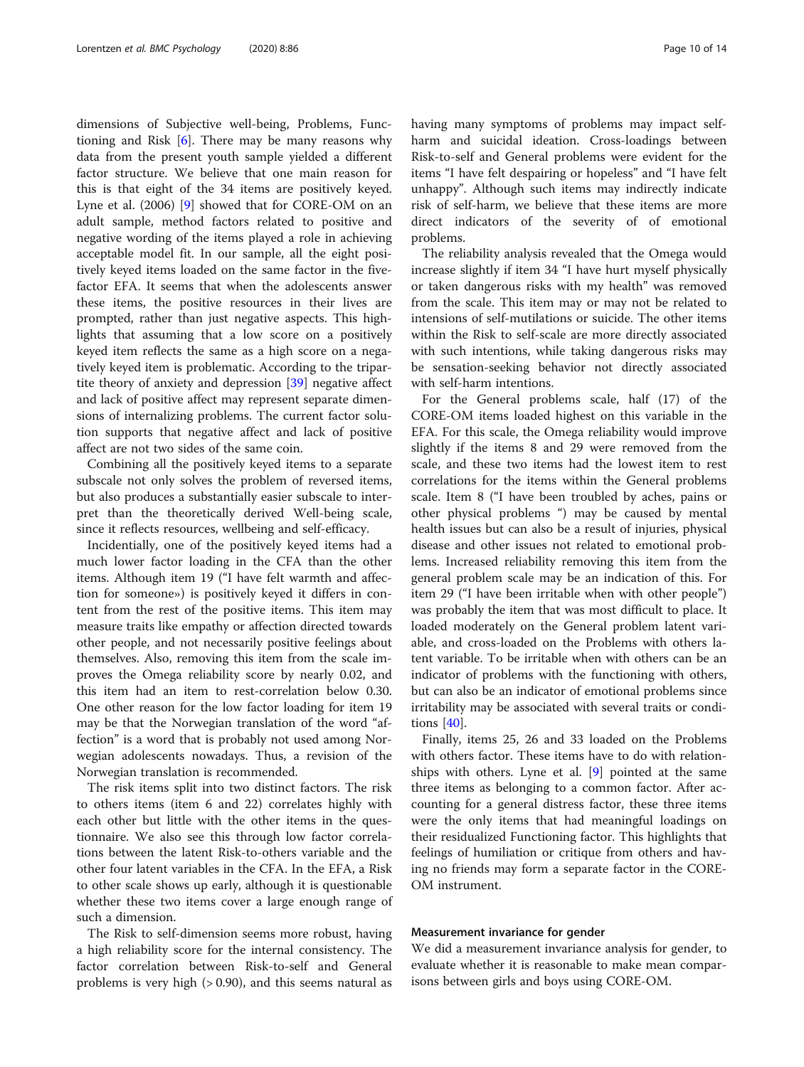dimensions of Subjective well-being, Problems, Functioning and Risk  $[6]$ . There may be many reasons why data from the present youth sample yielded a different factor structure. We believe that one main reason for this is that eight of the 34 items are positively keyed. Lyne et al. (2006) [\[9](#page-12-0)] showed that for CORE-OM on an adult sample, method factors related to positive and negative wording of the items played a role in achieving acceptable model fit. In our sample, all the eight positively keyed items loaded on the same factor in the fivefactor EFA. It seems that when the adolescents answer these items, the positive resources in their lives are prompted, rather than just negative aspects. This highlights that assuming that a low score on a positively keyed item reflects the same as a high score on a negatively keyed item is problematic. According to the tripartite theory of anxiety and depression [\[39](#page-12-0)] negative affect and lack of positive affect may represent separate dimensions of internalizing problems. The current factor solution supports that negative affect and lack of positive affect are not two sides of the same coin.

Combining all the positively keyed items to a separate subscale not only solves the problem of reversed items, but also produces a substantially easier subscale to interpret than the theoretically derived Well-being scale, since it reflects resources, wellbeing and self-efficacy.

Incidentially, one of the positively keyed items had a much lower factor loading in the CFA than the other items. Although item 19 ("I have felt warmth and affection for someone») is positively keyed it differs in content from the rest of the positive items. This item may measure traits like empathy or affection directed towards other people, and not necessarily positive feelings about themselves. Also, removing this item from the scale improves the Omega reliability score by nearly 0.02, and this item had an item to rest-correlation below 0.30. One other reason for the low factor loading for item 19 may be that the Norwegian translation of the word "affection" is a word that is probably not used among Norwegian adolescents nowadays. Thus, a revision of the Norwegian translation is recommended.

The risk items split into two distinct factors. The risk to others items (item 6 and 22) correlates highly with each other but little with the other items in the questionnaire. We also see this through low factor correlations between the latent Risk-to-others variable and the other four latent variables in the CFA. In the EFA, a Risk to other scale shows up early, although it is questionable whether these two items cover a large enough range of such a dimension.

The Risk to self-dimension seems more robust, having a high reliability score for the internal consistency. The factor correlation between Risk-to-self and General problems is very high (> 0.90), and this seems natural as having many symptoms of problems may impact selfharm and suicidal ideation. Cross-loadings between Risk-to-self and General problems were evident for the items "I have felt despairing or hopeless" and "I have felt unhappy". Although such items may indirectly indicate risk of self-harm, we believe that these items are more direct indicators of the severity of of emotional problems.

The reliability analysis revealed that the Omega would increase slightly if item 34 "I have hurt myself physically or taken dangerous risks with my health" was removed from the scale. This item may or may not be related to intensions of self-mutilations or suicide. The other items within the Risk to self-scale are more directly associated with such intentions, while taking dangerous risks may be sensation-seeking behavior not directly associated with self-harm intentions.

For the General problems scale, half (17) of the CORE-OM items loaded highest on this variable in the EFA. For this scale, the Omega reliability would improve slightly if the items 8 and 29 were removed from the scale, and these two items had the lowest item to rest correlations for the items within the General problems scale. Item 8 ("I have been troubled by aches, pains or other physical problems ") may be caused by mental health issues but can also be a result of injuries, physical disease and other issues not related to emotional problems. Increased reliability removing this item from the general problem scale may be an indication of this. For item 29 ("I have been irritable when with other people") was probably the item that was most difficult to place. It loaded moderately on the General problem latent variable, and cross-loaded on the Problems with others latent variable. To be irritable when with others can be an indicator of problems with the functioning with others, but can also be an indicator of emotional problems since irritability may be associated with several traits or conditions [[40\]](#page-12-0).

Finally, items 25, 26 and 33 loaded on the Problems with others factor. These items have to do with relationships with others. Lyne et al. [\[9](#page-12-0)] pointed at the same three items as belonging to a common factor. After accounting for a general distress factor, these three items were the only items that had meaningful loadings on their residualized Functioning factor. This highlights that feelings of humiliation or critique from others and having no friends may form a separate factor in the CORE-OM instrument.

# Measurement invariance for gender

We did a measurement invariance analysis for gender, to evaluate whether it is reasonable to make mean comparisons between girls and boys using CORE-OM.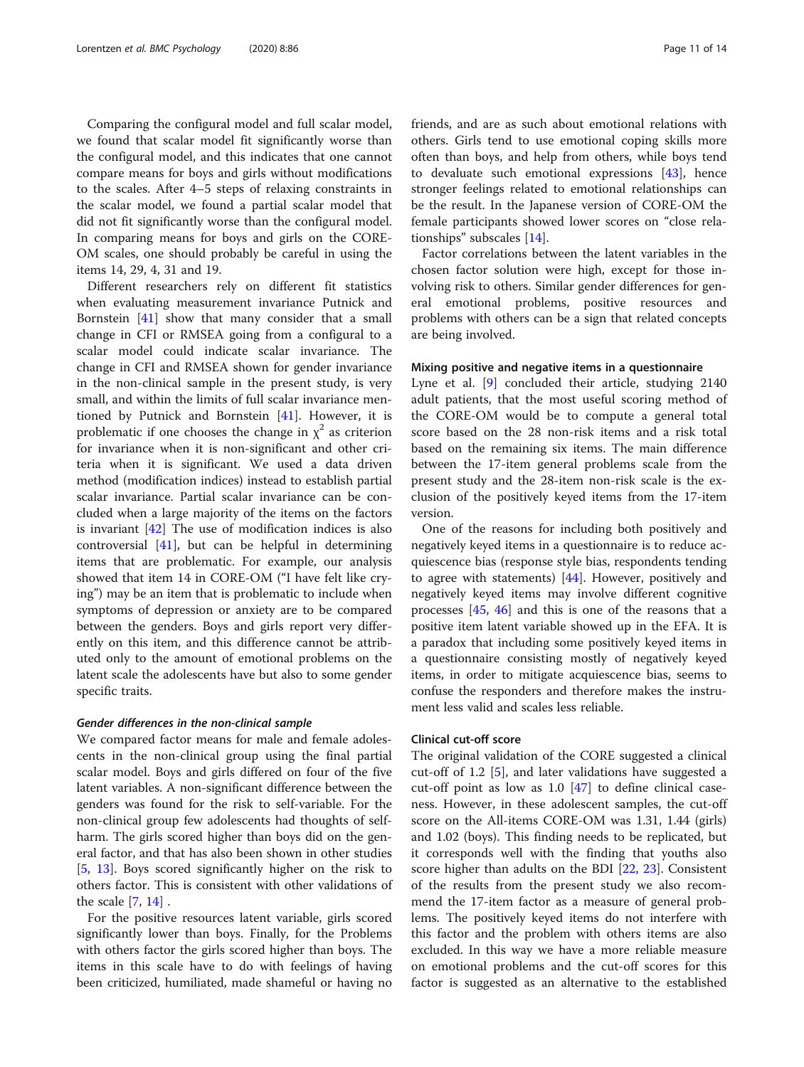Comparing the configural model and full scalar model, we found that scalar model fit significantly worse than the configural model, and this indicates that one cannot compare means for boys and girls without modifications to the scales. After 4–5 steps of relaxing constraints in the scalar model, we found a partial scalar model that did not fit significantly worse than the configural model. In comparing means for boys and girls on the CORE-OM scales, one should probably be careful in using the items 14, 29, 4, 31 and 19.

Different researchers rely on different fit statistics when evaluating measurement invariance Putnick and Bornstein [[41](#page-12-0)] show that many consider that a small change in CFI or RMSEA going from a configural to a scalar model could indicate scalar invariance. The change in CFI and RMSEA shown for gender invariance in the non-clinical sample in the present study, is very small, and within the limits of full scalar invariance mentioned by Putnick and Bornstein [\[41](#page-12-0)]. However, it is problematic if one chooses the change in  $\chi^2$  as criterion for invariance when it is non-significant and other criteria when it is significant. We used a data driven method (modification indices) instead to establish partial scalar invariance. Partial scalar invariance can be concluded when a large majority of the items on the factors is invariant  $[42]$  $[42]$  The use of modification indices is also controversial [\[41](#page-12-0)], but can be helpful in determining items that are problematic. For example, our analysis showed that item 14 in CORE-OM ("I have felt like crying") may be an item that is problematic to include when symptoms of depression or anxiety are to be compared between the genders. Boys and girls report very differently on this item, and this difference cannot be attributed only to the amount of emotional problems on the latent scale the adolescents have but also to some gender specific traits.

#### Gender differences in the non-clinical sample

We compared factor means for male and female adolescents in the non-clinical group using the final partial scalar model. Boys and girls differed on four of the five latent variables. A non-significant difference between the genders was found for the risk to self-variable. For the non-clinical group few adolescents had thoughts of selfharm. The girls scored higher than boys did on the general factor, and that has also been shown in other studies [[5,](#page-12-0) [13](#page-12-0)]. Boys scored significantly higher on the risk to others factor. This is consistent with other validations of the scale  $[7, 14]$  $[7, 14]$  $[7, 14]$ .

For the positive resources latent variable, girls scored significantly lower than boys. Finally, for the Problems with others factor the girls scored higher than boys. The items in this scale have to do with feelings of having been criticized, humiliated, made shameful or having no friends, and are as such about emotional relations with others. Girls tend to use emotional coping skills more often than boys, and help from others, while boys tend to devaluate such emotional expressions  $[43]$ , hence stronger feelings related to emotional relationships can be the result. In the Japanese version of CORE-OM the female participants showed lower scores on "close relationships" subscales [[14\]](#page-12-0).

Factor correlations between the latent variables in the chosen factor solution were high, except for those involving risk to others. Similar gender differences for general emotional problems, positive resources and problems with others can be a sign that related concepts are being involved.

# Mixing positive and negative items in a questionnaire

Lyne et al. [[9\]](#page-12-0) concluded their article, studying 2140 adult patients, that the most useful scoring method of the CORE-OM would be to compute a general total score based on the 28 non-risk items and a risk total based on the remaining six items. The main difference between the 17-item general problems scale from the present study and the 28-item non-risk scale is the exclusion of the positively keyed items from the 17-item version.

One of the reasons for including both positively and negatively keyed items in a questionnaire is to reduce acquiescence bias (response style bias, respondents tending to agree with statements)  $[44]$ . However, positively and negatively keyed items may involve different cognitive processes [\[45](#page-12-0), [46](#page-13-0)] and this is one of the reasons that a positive item latent variable showed up in the EFA. It is a paradox that including some positively keyed items in a questionnaire consisting mostly of negatively keyed items, in order to mitigate acquiescence bias, seems to confuse the responders and therefore makes the instrument less valid and scales less reliable.

# Clinical cut-off score

The original validation of the CORE suggested a clinical cut-off of 1.2 [\[5](#page-12-0)], and later validations have suggested a cut-off point as low as 1.0 [[47](#page-13-0)] to define clinical caseness. However, in these adolescent samples, the cut-off score on the All-items CORE-OM was 1.31, 1.44 (girls) and 1.02 (boys). This finding needs to be replicated, but it corresponds well with the finding that youths also score higher than adults on the BDI [\[22](#page-12-0), [23](#page-12-0)]. Consistent of the results from the present study we also recommend the 17-item factor as a measure of general problems. The positively keyed items do not interfere with this factor and the problem with others items are also excluded. In this way we have a more reliable measure on emotional problems and the cut-off scores for this factor is suggested as an alternative to the established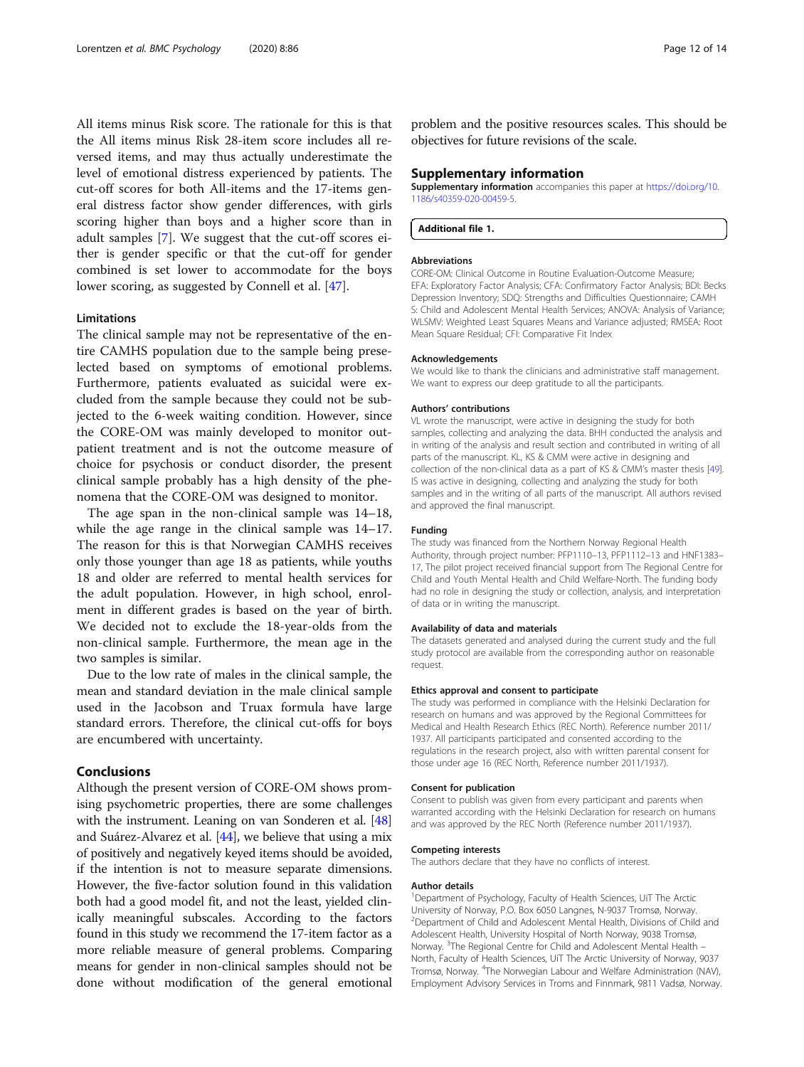<span id="page-11-0"></span>All items minus Risk score. The rationale for this is that the All items minus Risk 28-item score includes all reversed items, and may thus actually underestimate the level of emotional distress experienced by patients. The cut-off scores for both All-items and the 17-items general distress factor show gender differences, with girls scoring higher than boys and a higher score than in adult samples [[7\]](#page-12-0). We suggest that the cut-off scores either is gender specific or that the cut-off for gender combined is set lower to accommodate for the boys lower scoring, as suggested by Connell et al. [[47\]](#page-13-0).

#### **Limitations**

The clinical sample may not be representative of the entire CAMHS population due to the sample being preselected based on symptoms of emotional problems. Furthermore, patients evaluated as suicidal were excluded from the sample because they could not be subjected to the 6-week waiting condition. However, since the CORE-OM was mainly developed to monitor outpatient treatment and is not the outcome measure of choice for psychosis or conduct disorder, the present clinical sample probably has a high density of the phenomena that the CORE-OM was designed to monitor.

The age span in the non-clinical sample was 14–18, while the age range in the clinical sample was 14–17. The reason for this is that Norwegian CAMHS receives only those younger than age 18 as patients, while youths 18 and older are referred to mental health services for the adult population. However, in high school, enrolment in different grades is based on the year of birth. We decided not to exclude the 18-year-olds from the non-clinical sample. Furthermore, the mean age in the two samples is similar.

Due to the low rate of males in the clinical sample, the mean and standard deviation in the male clinical sample used in the Jacobson and Truax formula have large standard errors. Therefore, the clinical cut-offs for boys are encumbered with uncertainty.

## Conclusions

Although the present version of CORE-OM shows promising psychometric properties, there are some challenges with the instrument. Leaning on van Sonderen et al. [[48](#page-13-0)] and Suárez-Alvarez et al. [[44\]](#page-12-0), we believe that using a mix of positively and negatively keyed items should be avoided, if the intention is not to measure separate dimensions. However, the five-factor solution found in this validation both had a good model fit, and not the least, yielded clinically meaningful subscales. According to the factors found in this study we recommend the 17-item factor as a more reliable measure of general problems. Comparing means for gender in non-clinical samples should not be done without modification of the general emotional

problem and the positive resources scales. This should be objectives for future revisions of the scale.

#### Supplementary information

Supplementary information accompanies this paper at [https://doi.org/10.](https://doi.org/10.1186/s40359-020-00459-5) [1186/s40359-020-00459-5](https://doi.org/10.1186/s40359-020-00459-5).

Additional file 1.

#### Abbreviations

CORE-OM: Clinical Outcome in Routine Evaluation-Outcome Measure; EFA: Exploratory Factor Analysis; CFA: Confirmatory Factor Analysis; BDI: Becks Depression Inventory; SDQ: Strengths and Difficulties Questionnaire; CAMH S: Child and Adolescent Mental Health Services; ANOVA: Analysis of Variance; WLSMV: Weighted Least Squares Means and Variance adjusted; RMSEA: Root Mean Square Residual; CFI: Comparative Fit Index

#### Acknowledgements

We would like to thank the clinicians and administrative staff management. We want to express our deep gratitude to all the participants.

#### Authors' contributions

VL wrote the manuscript, were active in designing the study for both samples, collecting and analyzing the data. BHH conducted the analysis and in writing of the analysis and result section and contributed in writing of all parts of the manuscript. KL, KS & CMM were active in designing and collection of the non-clinical data as a part of KS & CMM's master thesis [[49](#page-13-0)]. IS was active in designing, collecting and analyzing the study for both samples and in the writing of all parts of the manuscript. All authors revised and approved the final manuscript.

#### Funding

The study was financed from the Northern Norway Regional Health Authority, through project number: PFP1110–13, PFP1112–13 and HNF1383– 17, The pilot project received financial support from The Regional Centre for Child and Youth Mental Health and Child Welfare-North. The funding body had no role in designing the study or collection, analysis, and interpretation of data or in writing the manuscript.

#### Availability of data and materials

The datasets generated and analysed during the current study and the full study protocol are available from the corresponding author on reasonable request.

#### Ethics approval and consent to participate

The study was performed in compliance with the Helsinki Declaration for research on humans and was approved by the Regional Committees for Medical and Health Research Ethics (REC North). Reference number 2011/ 1937. All participants participated and consented according to the regulations in the research project, also with written parental consent for those under age 16 (REC North, Reference number 2011/1937).

#### Consent for publication

Consent to publish was given from every participant and parents when warranted according with the Helsinki Declaration for research on humans and was approved by the REC North (Reference number 2011/1937).

#### Competing interests

The authors declare that they have no conflicts of interest.

#### Author details

<sup>1</sup>Department of Psychology, Faculty of Health Sciences, UiT The Arctic University of Norway, P.O. Box 6050 Langnes, N-9037 Tromsø, Norway. <sup>2</sup>Department of Child and Adolescent Mental Health, Divisions of Child and Adolescent Health, University Hospital of North Norway, 9038 Tromsø, Norway. <sup>3</sup>The Regional Centre for Child and Adolescent Mental Health -North, Faculty of Health Sciences, UiT The Arctic University of Norway, 9037 Tromsø, Norway. <sup>4</sup>The Norwegian Labour and Welfare Administration (NAV) Employment Advisory Services in Troms and Finnmark, 9811 Vadsø, Norway.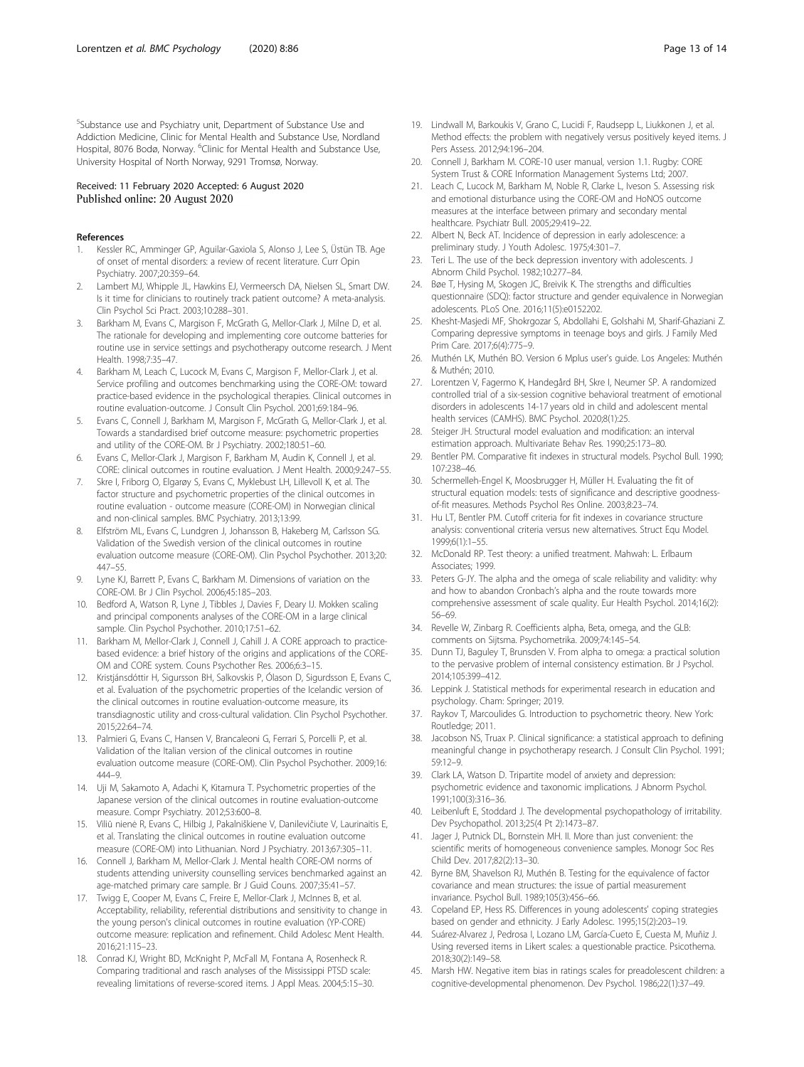<span id="page-12-0"></span>5 Substance use and Psychiatry unit, Department of Substance Use and Addiction Medicine, Clinic for Mental Health and Substance Use, Nordland Hospital, 8076 Bodø, Norway. <sup>6</sup>Clinic for Mental Health and Substance Use, University Hospital of North Norway, 9291 Tromsø, Norway.

# Received: 11 February 2020 Accepted: 6 August 2020 Published online: 20 August 2020

#### References

- 1. Kessler RC, Amminger GP, Aguilar-Gaxiola S, Alonso J, Lee S, Üstün TB. Age of onset of mental disorders: a review of recent literature. Curr Opin Psychiatry. 2007;20:359–64.
- 2. Lambert MJ, Whipple JL, Hawkins EJ, Vermeersch DA, Nielsen SL, Smart DW. Is it time for clinicians to routinely track patient outcome? A meta-analysis. Clin Psychol Sci Pract. 2003;10:288–301.
- Barkham M, Evans C, Margison F, McGrath G, Mellor-Clark J, Milne D, et al. The rationale for developing and implementing core outcome batteries for routine use in service settings and psychotherapy outcome research. J Ment Health. 1998;7:35–47.
- 4. Barkham M, Leach C, Lucock M, Evans C, Margison F, Mellor-Clark J, et al. Service profiling and outcomes benchmarking using the CORE-OM: toward practice-based evidence in the psychological therapies. Clinical outcomes in routine evaluation-outcome. J Consult Clin Psychol. 2001;69:184–96.
- 5. Evans C, Connell J, Barkham M, Margison F, McGrath G, Mellor-Clark J, et al. Towards a standardised brief outcome measure: psychometric properties and utility of the CORE-OM. Br J Psychiatry. 2002;180:51–60.
- 6. Evans C, Mellor-Clark J, Margison F, Barkham M, Audin K, Connell J, et al. CORE: clinical outcomes in routine evaluation. J Ment Health. 2000;9:247–55.
- 7. Skre I, Friborg O, Elgarøy S, Evans C, Myklebust LH, Lillevoll K, et al. The factor structure and psychometric properties of the clinical outcomes in routine evaluation - outcome measure (CORE-OM) in Norwegian clinical and non-clinical samples. BMC Psychiatry. 2013;13:99.
- 8. Elfström ML, Evans C, Lundgren J, Johansson B, Hakeberg M, Carlsson SG. Validation of the Swedish version of the clinical outcomes in routine evaluation outcome measure (CORE-OM). Clin Psychol Psychother. 2013;20: 447–55.
- Lyne KJ, Barrett P, Evans C, Barkham M. Dimensions of variation on the CORE-OM. Br J Clin Psychol. 2006;45:185–203.
- 10. Bedford A, Watson R, Lyne J, Tibbles J, Davies F, Deary IJ. Mokken scaling and principal components analyses of the CORE-OM in a large clinical sample. Clin Psychol Psychother. 2010;17:51–62.
- 11. Barkham M, Mellor-Clark J, Connell J, Cahill J. A CORE approach to practicebased evidence: a brief history of the origins and applications of the CORE-OM and CORE system. Couns Psychother Res. 2006;6:3–15.
- 12. Kristjánsdóttir H, Sigursson BH, Salkovskis P, Ólason D, Sigurdsson E, Evans C, et al. Evaluation of the psychometric properties of the Icelandic version of the clinical outcomes in routine evaluation-outcome measure, its transdiagnostic utility and cross-cultural validation. Clin Psychol Psychother. 2015;22:64–74.
- 13. Palmieri G, Evans C, Hansen V, Brancaleoni G, Ferrari S, Porcelli P, et al. Validation of the Italian version of the clinical outcomes in routine evaluation outcome measure (CORE-OM). Clin Psychol Psychother. 2009;16: 444–9.
- 14. Uji M, Sakamoto A, Adachi K, Kitamura T. Psychometric properties of the Japanese version of the clinical outcomes in routine evaluation-outcome measure. Compr Psychiatry. 2012;53:600–8.
- 15. Viliū nienė R, Evans C, Hilbig J, Pakalniškiene V, Danilevičiute V, Laurinaitis E, et al. Translating the clinical outcomes in routine evaluation outcome measure (CORE-OM) into Lithuanian. Nord J Psychiatry. 2013;67:305–11.
- 16. Connell J, Barkham M, Mellor-Clark J. Mental health CORE-OM norms of students attending university counselling services benchmarked against an age-matched primary care sample. Br J Guid Couns. 2007;35:41–57.
- 17. Twigg E, Cooper M, Evans C, Freire E, Mellor-Clark J, McInnes B, et al. Acceptability, reliability, referential distributions and sensitivity to change in the young person's clinical outcomes in routine evaluation (YP-CORE) outcome measure: replication and refinement. Child Adolesc Ment Health. 2016;21:115–23.
- 18. Conrad KJ, Wright BD, McKnight P, McFall M, Fontana A, Rosenheck R. Comparing traditional and rasch analyses of the Mississippi PTSD scale: revealing limitations of reverse-scored items. J Appl Meas. 2004;5:15–30.
- 19. Lindwall M, Barkoukis V, Grano C, Lucidi F, Raudsepp L, Liukkonen J, et al. Method effects: the problem with negatively versus positively keyed items. J Pers Assess. 2012;94:196–204.
- 20. Connell J, Barkham M. CORE-10 user manual, version 1.1. Rugby: CORE System Trust & CORE Information Management Systems Ltd; 2007.
- 21. Leach C, Lucock M, Barkham M, Noble R, Clarke L, Iveson S. Assessing risk and emotional disturbance using the CORE-OM and HoNOS outcome measures at the interface between primary and secondary mental healthcare. Psychiatr Bull. 2005;29:419–22.
- 22. Albert N, Beck AT. Incidence of depression in early adolescence: a preliminary study. J Youth Adolesc. 1975;4:301–7.
- 23. Teri L. The use of the beck depression inventory with adolescents. J Abnorm Child Psychol. 1982;10:277–84.
- 24. Bøe T, Hysing M, Skogen JC, Breivik K. The strengths and difficulties questionnaire (SDQ): factor structure and gender equivalence in Norwegian adolescents. PLoS One. 2016;11(5):e0152202.
- 25. Khesht-Masjedi MF, Shokrgozar S, Abdollahi E, Golshahi M, Sharif-Ghaziani Z. Comparing depressive symptoms in teenage boys and girls. J Family Med Prim Care. 2017;6(4):775–9.
- 26. Muthén LK, Muthén BO. Version 6 Mplus user's guide. Los Angeles: Muthén & Muthén; 2010.
- 27. Lorentzen V, Fagermo K, Handegård BH, Skre I, Neumer SP. A randomized controlled trial of a six-session cognitive behavioral treatment of emotional disorders in adolescents 14-17 years old in child and adolescent mental health services (CAMHS). BMC Psychol. 2020;8(1):25.
- 28. Steiger JH. Structural model evaluation and modification: an interval estimation approach. Multivariate Behav Res. 1990;25:173–80.
- 29. Bentler PM. Comparative fit indexes in structural models. Psychol Bull. 1990; 107:238–46.
- 30. Schermelleh-Engel K, Moosbrugger H, Müller H. Evaluating the fit of structural equation models: tests of significance and descriptive goodnessof-fit measures. Methods Psychol Res Online. 2003;8:23–74.
- 31. Hu LT, Bentler PM. Cutoff criteria for fit indexes in covariance structure analysis: conventional criteria versus new alternatives. Struct Equ Model. 1999;6(1):1–55.
- 32. McDonald RP. Test theory: a unified treatment. Mahwah: L. Erlbaum Associates; 1999.
- 33. Peters G-JY. The alpha and the omega of scale reliability and validity: why and how to abandon Cronbach's alpha and the route towards more comprehensive assessment of scale quality. Eur Health Psychol. 2014;16(2): 56–69.
- 34. Revelle W, Zinbarg R. Coefficients alpha, Beta, omega, and the GLB: comments on Sijtsma. Psychometrika. 2009;74:145–54.
- 35. Dunn TJ, Baguley T, Brunsden V. From alpha to omega: a practical solution to the pervasive problem of internal consistency estimation. Br J Psychol. 2014;105:399–412.
- 36. Leppink J. Statistical methods for experimental research in education and psychology. Cham: Springer; 2019.
- 37. Raykov T, Marcoulides G. Introduction to psychometric theory. New York: Routledge; 2011.
- 38. Jacobson NS, Truax P. Clinical significance: a statistical approach to defining meaningful change in psychotherapy research. J Consult Clin Psychol. 1991; 59:12–9.
- 39. Clark LA, Watson D. Tripartite model of anxiety and depression: psychometric evidence and taxonomic implications. J Abnorm Psychol. 1991;100(3):316–36.
- 40. Leibenluft E, Stoddard J. The developmental psychopathology of irritability. Dev Psychopathol. 2013;25(4 Pt 2):1473–87.
- 41. Jager J, Putnick DL, Bornstein MH. II. More than just convenient: the scientific merits of homogeneous convenience samples. Monogr Soc Res Child Dev. 2017;82(2):13–30.
- 42. Byrne BM, Shavelson RJ, Muthén B. Testing for the equivalence of factor covariance and mean structures: the issue of partial measurement invariance. Psychol Bull. 1989;105(3):456–66.
- 43. Copeland EP, Hess RS. Differences in young adolescents' coping strategies based on gender and ethnicity. J Early Adolesc. 1995;15(2):203–19.
- 44. Suárez-Alvarez J, Pedrosa I, Lozano LM, García-Cueto E, Cuesta M, Muñiz J. Using reversed items in Likert scales: a questionable practice. Psicothema. 2018;30(2):149–58.
- 45. Marsh HW. Negative item bias in ratings scales for preadolescent children: a cognitive-developmental phenomenon. Dev Psychol. 1986;22(1):37–49.